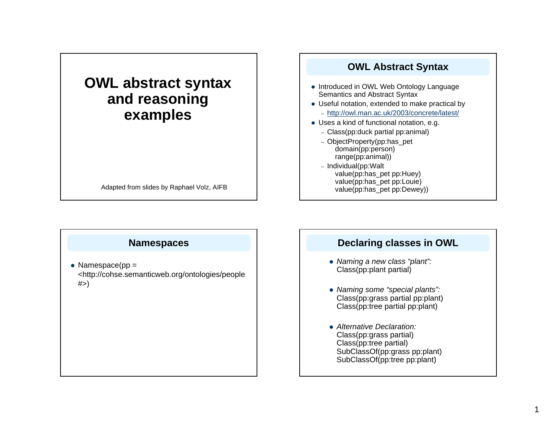# **OWL abstract syntax and reasoning examples**

Adapted from slides by Raphael Volz, AIFB

#### **OWL Abstract Syntax**

- Introduced in OWL Web Ontology Language Semantics and Abstract Syntax
- Useful notation, extended to make practical by
	- http://owl.man.ac.uk/2003/concrete/latest/
- $\bullet$  Uses a kind of functional notation, e.g.
	- Class(pp:duck partial pp:animal)
	- ObjectProperty(pp:has\_pet domain(pp:person) range(pp:animal))
	- Individual(pp:Walt value(pp:has\_pet pp:Huey) value(pp:has\_pet pp:Louie) value(pp:has\_pet pp:Dewey))

### **Namespaces**

• Namespace( $pp =$ <http://cohse.semanticweb.org/ontologies/people  $#$   $>$ )

## **Declaring classes in OWL**

- z *Naming a new class "plant":*  Class(pp:plant partial)
- z *Naming some "special plants":* Class(pp:grass partial pp:plant) Class(pp:tree partial pp:plant)
- **Alternative Declaration:** Class(pp:grass partial) Class(pp:tree partial) SubClassOf(pp:grass pp:plant) SubClassOf(pp:tree pp:plant)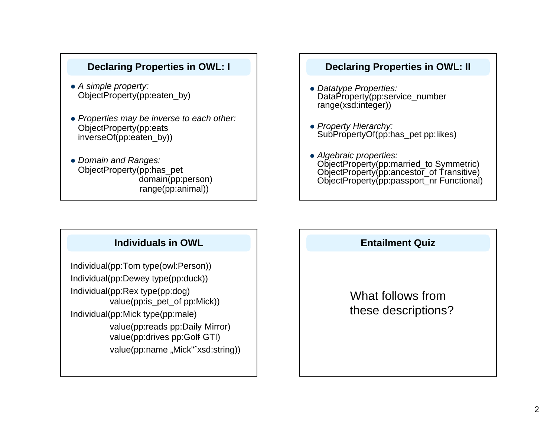### **Declaring Properties in OWL: I**

- z *A simple property:* ObjectProperty(pp:eaten\_by)
- z *Properties may be inverse to each other:* ObjectProperty(pp:eats inverseOf(pp:eaten\_by))
- z *Domain and Ranges:* ObjectProperty(pp:has\_pet domain(pp:person) range(pp:animal))

### **Declaring Properties in OWL: II**

- z *Datatype Properties:* DataProperty(pp:service\_number range(xsd:integer))
- z *Property Hierarchy:* SubPropertyOf(pp:has\_pet pp:likes)
- z *Algebraic properties:* ObjectProperty(pp:married\_to Symmetric) ObjectProperty(pp:ancestor\_of Transitive) ObjectProperty(pp:passport\_nr Functional)

# **Individuals in OWL**

Individual(pp:Tom type(owl:Person)) Individual(pp:Dewey type(pp:duck)) Individual(pp:Rex type(pp:dog) value(pp:is\_pet\_of pp:Mick)) Individual(pp:Mick type(pp:male) value(pp:reads pp:Daily- Mirror) value(pp:drives pp:Golf GTI) value(pp:name "Mick"^xsd:string))

### **Entailment Quiz**

# What follows fromthese descriptions?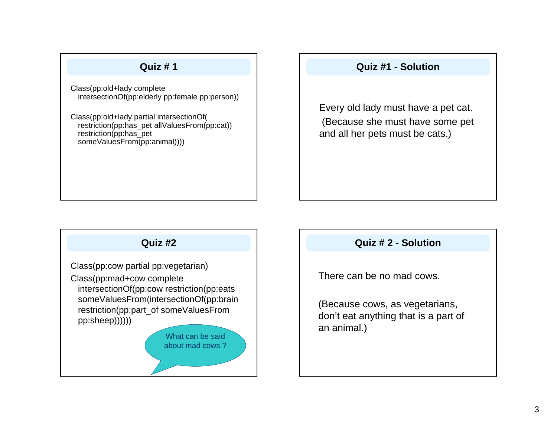### **Quiz # 1**

Class(pp:old+lady complete intersectionOf(pp:elderly pp:female pp:person))

Class(pp:old+lady partial intersectionOf( restriction(pp:has\_pet allValuesFrom(pp:cat)) restriction(pp:has\_pet someValuesFrom(pp:animal))))

## **Quiz #1 - Solution**

Every old lady must have a pet cat. (Because she must have some pet and all her pets must be cats.)

# **Quiz #2**

Class(pp:cow partial pp:vegetarian) Class(pp:mad+cow complete intersectionOf(pp:cow restriction(pp:eats someValuesFrom(intersectionOf(pp:brain restriction(pp:part\_of someValuesFrom pp:sheep))))))

> What can be saidabout mad cows ?

### **Quiz # 2 - Solution**

There can be no mad cows.

(Because cows, as vegetarians, don't eat anything that is a part of an animal.)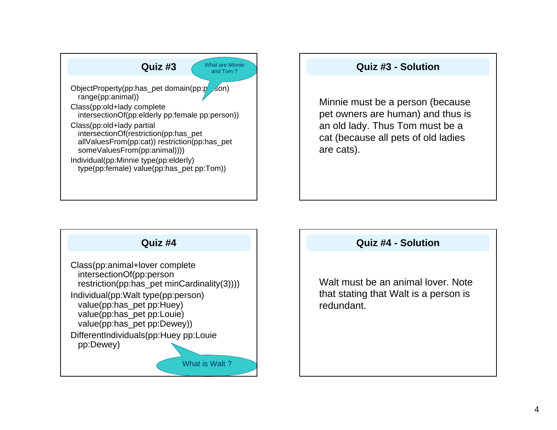

# **Quiz #3 - Solution**

Minnie must be a person (because pet owners are human) and thus is an old lady. Thus Tom must be <sup>a</sup> cat (because all pets of old ladies are cats).



### **Quiz #4 - Solution**

Walt must be an animal lover. Note that stating that Walt is a person is redundant.